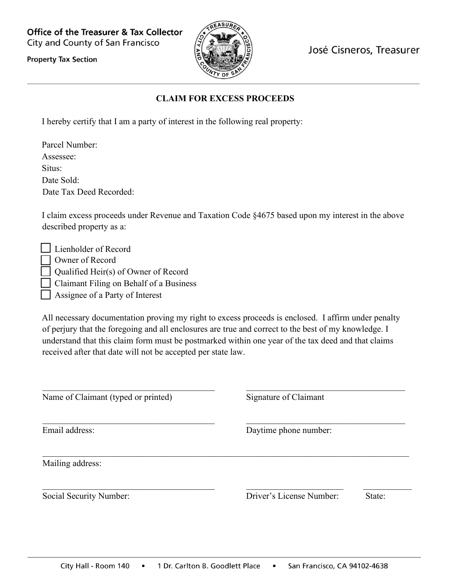**Office of the Treasurer & Tax Collector** City and County of San Francisco



José Cisneros, Treasurer

**Property Tax Section** 

## **CLAIM FOR EXCESS PROCEEDS**

I hereby certify that I am a party of interest in the following real property:

| Parcel Number:          |
|-------------------------|
| Assessee:               |
| Situs:                  |
| Date Sold:              |
| Date Tax Deed Recorded: |

I claim excess proceeds under Revenue and Taxation Code §4675 based upon my interest in the above described property as a:

| Lienholder of Record                    |
|-----------------------------------------|
| Owner of Record                         |
| Qualified Heir(s) of Owner of Record    |
| Claimant Filing on Behalf of a Business |
| Assignee of a Party of Interest         |

All necessary documentation proving my right to excess proceeds is enclosed. I affirm under penalty of perjury that the foregoing and all enclosures are true and correct to the best of my knowledge. I understand that this claim form must be postmarked within one year of the tax deed and that claims received after that date will not be accepted per state law.

| Name of Claimant (typed or printed) | Signature of Claimant    |        |  |
|-------------------------------------|--------------------------|--------|--|
| Email address:                      | Daytime phone number:    |        |  |
| Mailing address:                    |                          |        |  |
| Social Security Number:             | Driver's License Number: | State: |  |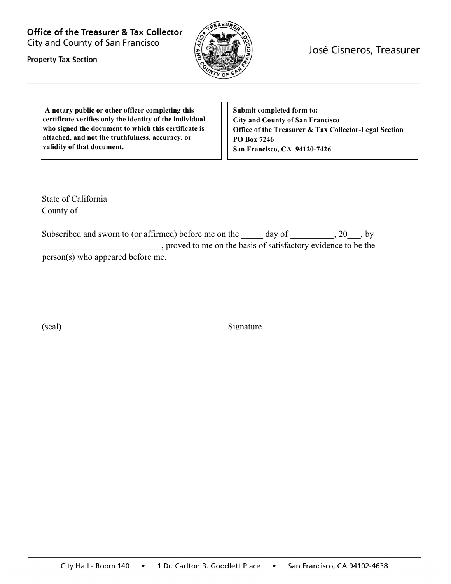**Office of the Treasurer & Tax Collector** City and County of San Francisco



José Cisneros, Treasurer

**Property Tax Section** 

**A notary public or other officer completing this certificate verifies only the identity of the individual who signed the document to which this certificate is attached, and not the truthfulness, accuracy, or validity of that document.** 

**Submit completed form to: City and County of San Francisco Office of the Treasurer & Tax Collector-Legal Section PO Box 7246 San Francisco, CA 94120-7426** 

State of California County of

Subscribed and sworn to (or affirmed) before me on the \_\_\_\_\_ day of \_\_\_\_\_\_\_\_\_, 20\_\_\_, by \_\_\_\_\_\_\_\_\_\_\_\_\_\_\_\_\_\_\_\_\_\_\_\_\_\_\_, proved to me on the basis of satisfactory evidence to be the person(s) who appeared before me.

(seal) Signature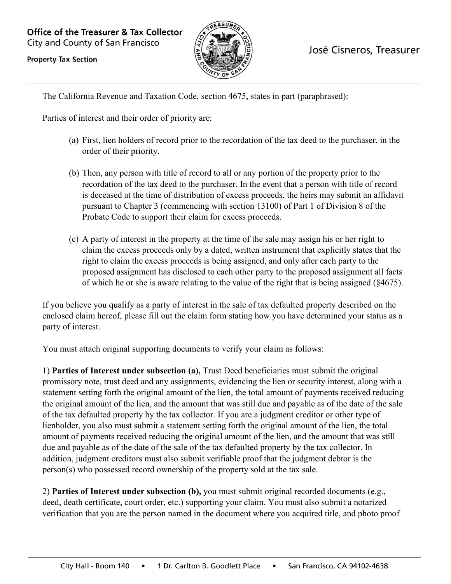**Office of the Treasurer & Tax Collector** City and County of San Francisco



## José Cisneros, Treasurer

**Property Tax Section** 

The California Revenue and Taxation Code, section 4675, states in part (paraphrased):

Parties of interest and their order of priority are:

- (a) First, lien holders of record prior to the recordation of the tax deed to the purchaser, in the order of their priority.
- (b) Then, any person with title of record to all or any portion of the property prior to the recordation of the tax deed to the purchaser. In the event that a person with title of record is deceased at the time of distribution of excess proceeds, the heirs may submit an affidavit pursuant to Chapter 3 (commencing with section 13100) of Part 1 of Division 8 of the Probate Code to support their claim for excess proceeds.
- (c) A party of interest in the property at the time of the sale may assign his or her right to claim the excess proceeds only by a dated, written instrument that explicitly states that the right to claim the excess proceeds is being assigned, and only after each party to the proposed assignment has disclosed to each other party to the proposed assignment all facts of which he or she is aware relating to the value of the right that is being assigned (§4675).

If you believe you qualify as a party of interest in the sale of tax defaulted property described on the enclosed claim hereof, please fill out the claim form stating how you have determined your status as a party of interest.

You must attach original supporting documents to verify your claim as follows:

1) **Parties of Interest under subsection (a),** Trust Deed beneficiaries must submit the original promissory note, trust deed and any assignments, evidencing the lien or security interest, along with a statement setting forth the original amount of the lien, the total amount of payments received reducing the original amount of the lien, and the amount that was still due and payable as of the date of the sale of the tax defaulted property by the tax collector. If you are a judgment creditor or other type of lienholder, you also must submit a statement setting forth the original amount of the lien, the total amount of payments received reducing the original amount of the lien, and the amount that was still due and payable as of the date of the sale of the tax defaulted property by the tax collector. In addition, judgment creditors must also submit verifiable proof that the judgment debtor is the person(s) who possessed record ownership of the property sold at the tax sale.

2) **Parties of Interest under subsection (b),** you must submit original recorded documents (e.g., deed, death certificate, court order, etc.) supporting your claim. You must also submit a notarized verification that you are the person named in the document where you acquired title, and photo proof